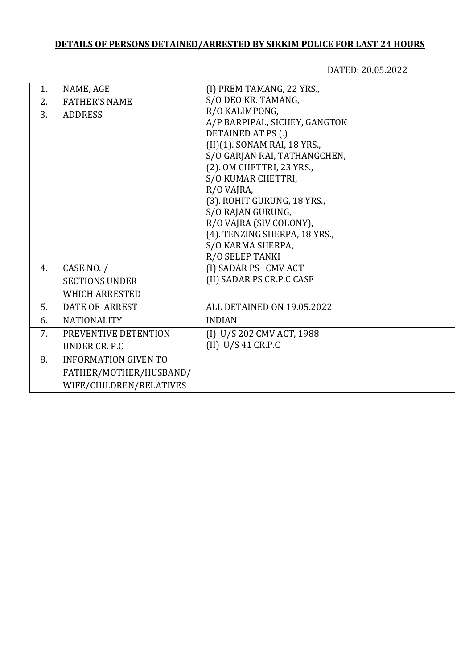## **DETAILS OF PERSONS DETAINED/ARRESTED BY SIKKIM POLICE FOR LAST 24 HOURS**

DATED: 20.05.2022

| 1. | NAME, AGE                   | (I) PREM TAMANG, 22 YRS.,     |
|----|-----------------------------|-------------------------------|
| 2. | <b>FATHER'S NAME</b>        | S/O DEO KR. TAMANG,           |
| 3. | <b>ADDRESS</b>              | R/O KALIMPONG,                |
|    |                             | A/P BARPIPAL, SICHEY, GANGTOK |
|    |                             | DETAINED AT PS (.)            |
|    |                             | (II)(1). SONAM RAI, 18 YRS.,  |
|    |                             | S/O GARJAN RAI, TATHANGCHEN,  |
|    |                             | (2). OM CHETTRI, 23 YRS.,     |
|    |                             | S/O KUMAR CHETTRI,            |
|    |                             | R/O VAJRA,                    |
|    |                             | (3). ROHIT GURUNG, 18 YRS.,   |
|    |                             | S/O RAJAN GURUNG,             |
|    |                             | R/O VAJRA (SIV COLONY),       |
|    |                             | (4). TENZING SHERPA, 18 YRS., |
|    |                             | S/O KARMA SHERPA,             |
|    |                             | R/O SELEP TANKI               |
| 4. | CASE NO. /                  | (I) SADAR PS CMV ACT          |
|    | <b>SECTIONS UNDER</b>       | (II) SADAR PS CR.P.C CASE     |
|    | <b>WHICH ARRESTED</b>       |                               |
| 5. | <b>DATE OF ARREST</b>       | ALL DETAINED ON 19.05.2022    |
| 6. | <b>NATIONALITY</b>          | <b>INDIAN</b>                 |
| 7. | PREVENTIVE DETENTION        | (I) U/S 202 CMV ACT, 1988     |
|    | UNDER CR. P.C.              | $(II)$ U/S 41 CR.P.C          |
| 8. | <b>INFORMATION GIVEN TO</b> |                               |
|    | FATHER/MOTHER/HUSBAND/      |                               |
|    | WIFE/CHILDREN/RELATIVES     |                               |
|    |                             |                               |